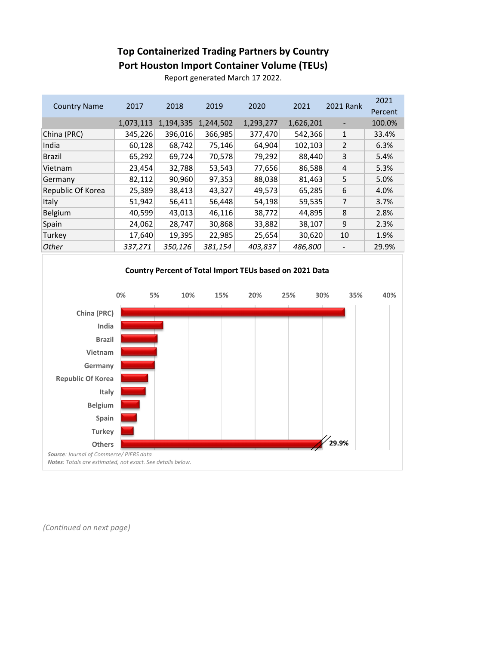## **Top Containerized Trading Partners by Country Port Houston Import Container Volume (TEUs)**

Report generated March 17 2022.

| <b>Country Name</b> | 2017      | 2018      | 2019      | 2020      | 2021      | <b>2021 Rank</b>         | 2021    |
|---------------------|-----------|-----------|-----------|-----------|-----------|--------------------------|---------|
|                     |           |           |           |           |           |                          | Percent |
|                     | 1,073,113 | 1,194,335 | 1,244,502 | 1,293,277 | 1,626,201 | $\overline{\phantom{0}}$ | 100.0%  |
| China (PRC)         | 345,226   | 396,016   | 366,985   | 377,470   | 542,366   | 1                        | 33.4%   |
| India               | 60,128    | 68,742    | 75,146    | 64,904    | 102,103   | 2                        | 6.3%    |
| <b>Brazil</b>       | 65,292    | 69,724    | 70,578    | 79,292    | 88,440    | 3                        | 5.4%    |
| Vietnam             | 23,454    | 32,788    | 53,543    | 77,656    | 86,588    | 4                        | 5.3%    |
| Germany             | 82,112    | 90,960    | 97,353    | 88,038    | 81,463    | 5                        | 5.0%    |
| Republic Of Korea   | 25,389    | 38,413    | 43,327    | 49,573    | 65,285    | 6                        | 4.0%    |
| Italy               | 51,942    | 56,411    | 56,448    | 54,198    | 59,535    | 7                        | 3.7%    |
| <b>Belgium</b>      | 40,599    | 43,013    | 46,116    | 38,772    | 44,895    | 8                        | 2.8%    |
| Spain               | 24,062    | 28,747    | 30,868    | 33,882    | 38,107    | 9                        | 2.3%    |
| Turkey              | 17,640    | 19,395    | 22,985    | 25,654    | 30,620    | 10                       | 1.9%    |
| <b>Other</b>        | 337,271   | 350,126   | 381,154   | 403,837   | 486,800   |                          | 29.9%   |



*(Continued on next page)*